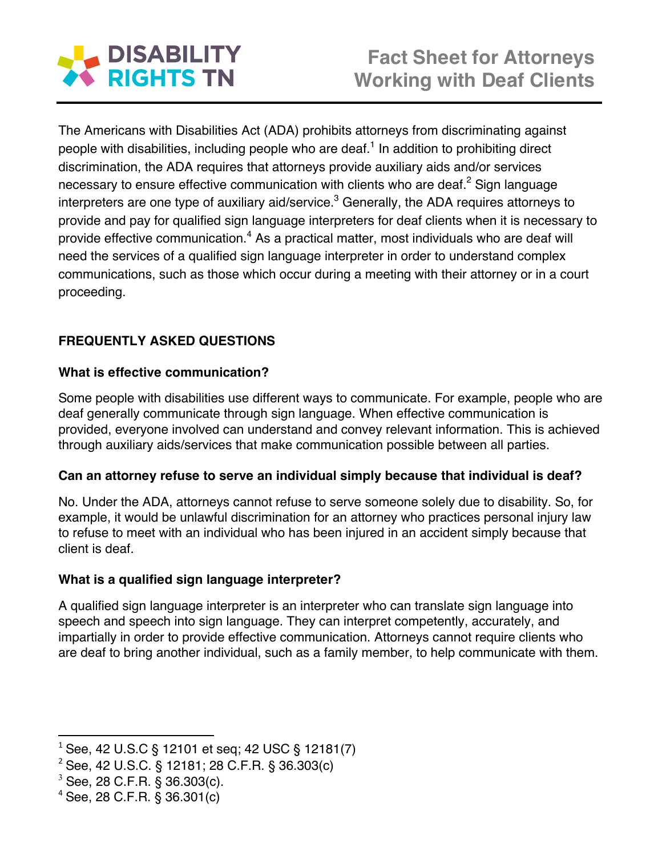

The Americans with Disabilities Act (ADA) prohibits attorneys from discriminating against people with disabilities, including people who are deaf.<sup>1</sup> In addition to prohibiting direct discrimination, the ADA requires that attorneys provide auxiliary aids and/or services necessary to ensure effective communication with clients who are deaf.<sup>2</sup> Sign language interpreters are one type of auxiliary aid/service. $3$  Generally, the ADA requires attorneys to provide and pay for qualified sign language interpreters for deaf clients when it is necessary to provide effective communication.<sup>4</sup> As a practical matter, most individuals who are deaf will need the services of a qualified sign language interpreter in order to understand complex communications, such as those which occur during a meeting with their attorney or in a court proceeding.

# **FREQUENTLY ASKED QUESTIONS**

## **What is effective communication?**

Some people with disabilities use different ways to communicate. For example, people who are deaf generally communicate through sign language. When effective communication is provided, everyone involved can understand and convey relevant information. This is achieved through auxiliary aids/services that make communication possible between all parties.

## **Can an attorney refuse to serve an individual simply because that individual is deaf?**

No. Under the ADA, attorneys cannot refuse to serve someone solely due to disability. So, for example, it would be unlawful discrimination for an attorney who practices personal injury law to refuse to meet with an individual who has been injured in an accident simply because that client is deaf.

# **What is a qualified sign language interpreter?**

A qualified sign language interpreter is an interpreter who can translate sign language into speech and speech into sign language. They can interpret competently, accurately, and impartially in order to provide effective communication. Attorneys cannot require clients who are deaf to bring another individual, such as a family member, to help communicate with them.

<u> 1989 - Johann Stein, markin film yn y breninn y breninn y breninn y breninn y breninn y breninn y breninn y b</u>

 $1$  See, 42 U.S.C § 12101 et seq; 42 USC § 12181(7)

<sup>2</sup> See, 42 U.S.C. § 12181; 28 C.F.R. § 36.303(c)

 $3$  See, 28 C.F.R. § 36.303(c).

 $4$  See, 28 C.F.R. § 36.301(c)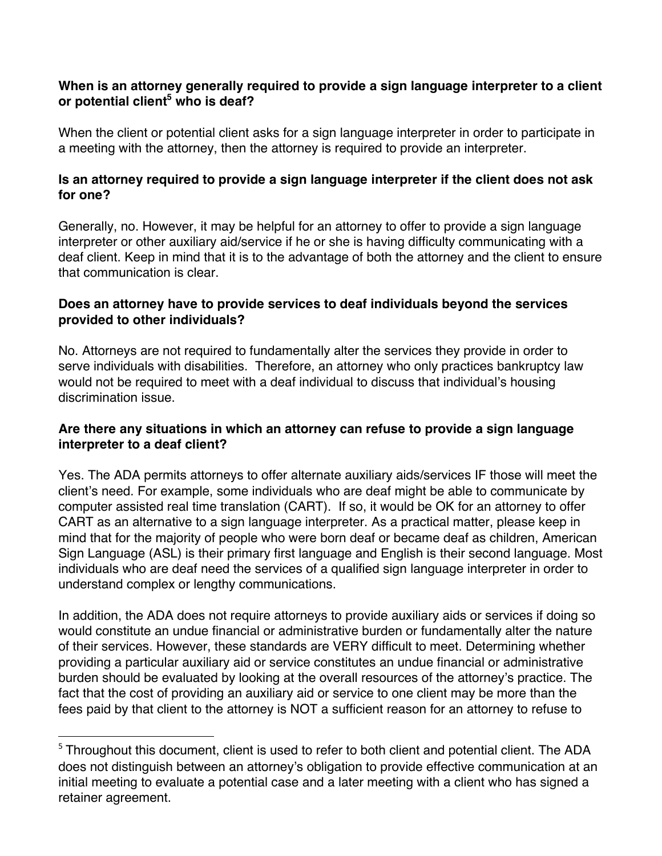#### **When is an attorney generally required to provide a sign language interpreter to a client or potential client5 who is deaf?**

When the client or potential client asks for a sign language interpreter in order to participate in a meeting with the attorney, then the attorney is required to provide an interpreter.

## **Is an attorney required to provide a sign language interpreter if the client does not ask for one?**

Generally, no. However, it may be helpful for an attorney to offer to provide a sign language interpreter or other auxiliary aid/service if he or she is having difficulty communicating with a deaf client. Keep in mind that it is to the advantage of both the attorney and the client to ensure that communication is clear.

#### **Does an attorney have to provide services to deaf individuals beyond the services provided to other individuals?**

No. Attorneys are not required to fundamentally alter the services they provide in order to serve individuals with disabilities. Therefore, an attorney who only practices bankruptcy law would not be required to meet with a deaf individual to discuss that individual's housing discrimination issue.

## **Are there any situations in which an attorney can refuse to provide a sign language interpreter to a deaf client?**

Yes. The ADA permits attorneys to offer alternate auxiliary aids/services IF those will meet the client's need. For example, some individuals who are deaf might be able to communicate by computer assisted real time translation (CART). If so, it would be OK for an attorney to offer CART as an alternative to a sign language interpreter. As a practical matter, please keep in mind that for the majority of people who were born deaf or became deaf as children, American Sign Language (ASL) is their primary first language and English is their second language. Most individuals who are deaf need the services of a qualified sign language interpreter in order to understand complex or lengthy communications.

In addition, the ADA does not require attorneys to provide auxiliary aids or services if doing so would constitute an undue financial or administrative burden or fundamentally alter the nature of their services. However, these standards are VERY difficult to meet. Determining whether providing a particular auxiliary aid or service constitutes an undue financial or administrative burden should be evaluated by looking at the overall resources of the attorney's practice. The fact that the cost of providing an auxiliary aid or service to one client may be more than the fees paid by that client to the attorney is NOT a sufficient reason for an attorney to refuse to

<u> 1989 - Jan Stein Stein, fransk politiker (d. 1989)</u>

<sup>&</sup>lt;sup>5</sup> Throughout this document, client is used to refer to both client and potential client. The ADA does not distinguish between an attorney's obligation to provide effective communication at an initial meeting to evaluate a potential case and a later meeting with a client who has signed a retainer agreement.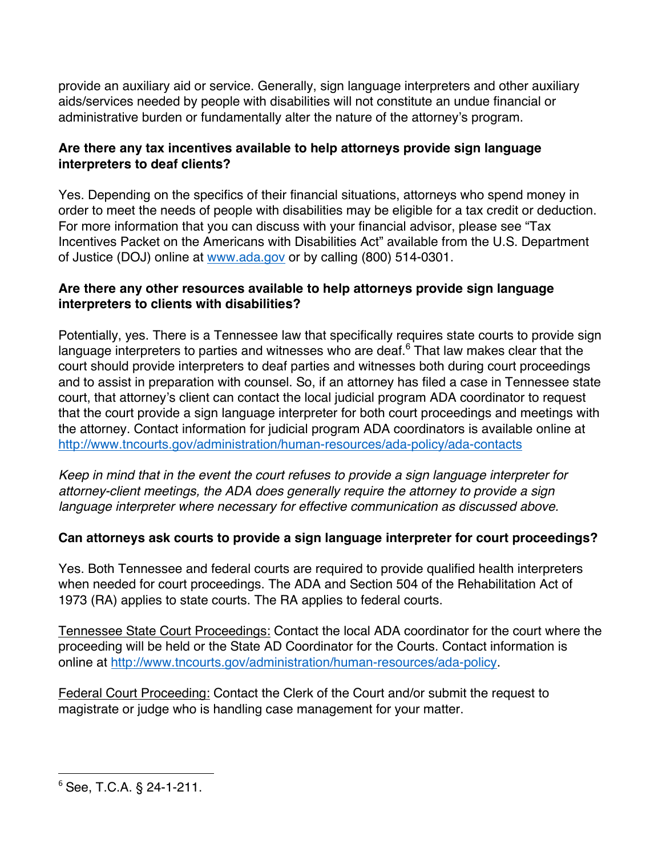provide an auxiliary aid or service. Generally, sign language interpreters and other auxiliary aids/services needed by people with disabilities will not constitute an undue financial or administrative burden or fundamentally alter the nature of the attorney's program.

## **Are there any tax incentives available to help attorneys provide sign language interpreters to deaf clients?**

Yes. Depending on the specifics of their financial situations, attorneys who spend money in order to meet the needs of people with disabilities may be eligible for a tax credit or deduction. For more information that you can discuss with your financial advisor, please see "Tax Incentives Packet on the Americans with Disabilities Act" available from the U.S. Department of Justice (DOJ) online at www.ada.gov or by calling (800) 514-0301.

## **Are there any other resources available to help attorneys provide sign language interpreters to clients with disabilities?**

Potentially, yes. There is a Tennessee law that specifically requires state courts to provide sign language interpreters to parties and witnesses who are deaf. $6$  That law makes clear that the court should provide interpreters to deaf parties and witnesses both during court proceedings and to assist in preparation with counsel. So, if an attorney has filed a case in Tennessee state court, that attorney's client can contact the local judicial program ADA coordinator to request that the court provide a sign language interpreter for both court proceedings and meetings with the attorney. Contact information for judicial program ADA coordinators is available online at http://www.tncourts.gov/administration/human-resources/ada-policy/ada-contacts

*Keep in mind that in the event the court refuses to provide a sign language interpreter for attorney-client meetings, the ADA does generally require the attorney to provide a sign language interpreter where necessary for effective communication as discussed above.*

# **Can attorneys ask courts to provide a sign language interpreter for court proceedings?**

Yes. Both Tennessee and federal courts are required to provide qualified health interpreters when needed for court proceedings. The ADA and Section 504 of the Rehabilitation Act of 1973 (RA) applies to state courts. The RA applies to federal courts.

Tennessee State Court Proceedings: Contact the local ADA coordinator for the court where the proceeding will be held or the State AD Coordinator for the Courts. Contact information is online at http://www.tncourts.gov/administration/human-resources/ada-policy.

Federal Court Proceeding: Contact the Clerk of the Court and/or submit the request to magistrate or judge who is handling case management for your matter.

<sup>&</sup>lt;u> 1989 - Jan Stein Stein, fransk politiker (d. 1989)</u> <sup>6</sup> See, T.C.A. § 24-1-211.